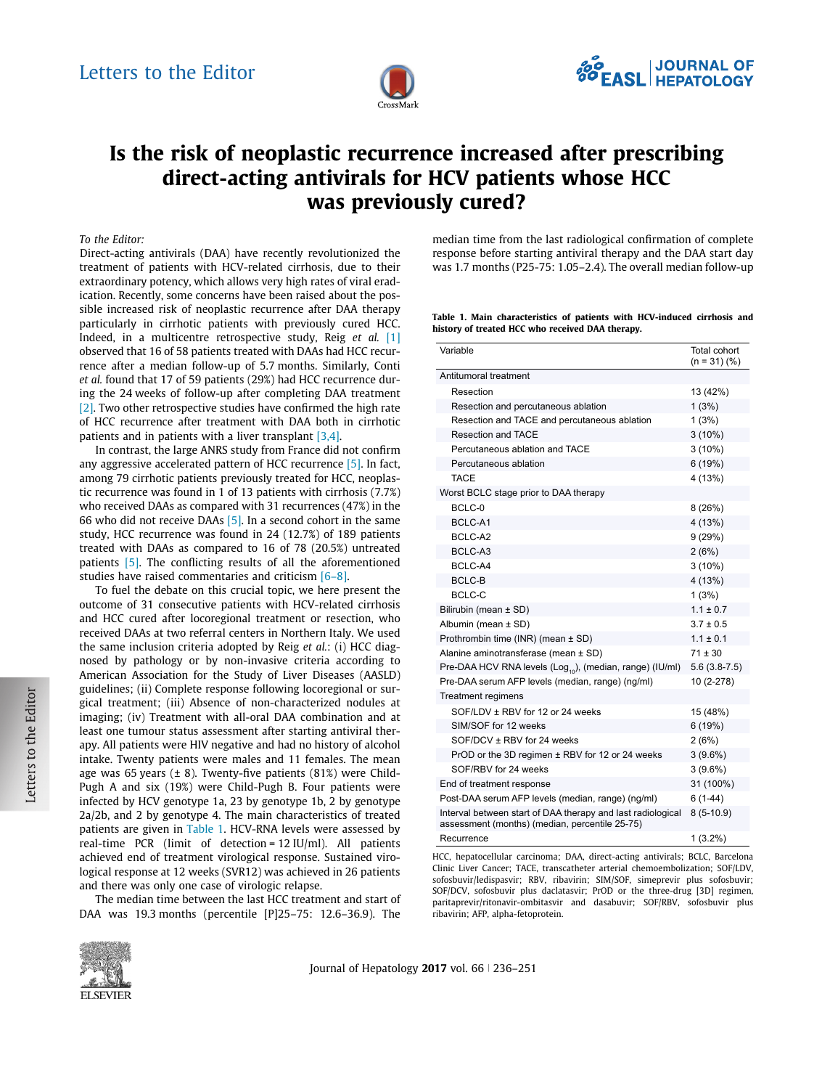

# Is the risk of neoplastic recurrence increased after prescribing direct-acting antivirals for HCV patients whose HCC was previously cured?

To the Editor:

Direct-acting antivirals (DAA) have recently revolutionized the treatment of patients with HCV-related cirrhosis, due to their extraordinary potency, which allows very high rates of viral eradication. Recently, some concerns have been raised about the possible increased risk of neoplastic recurrence after DAA therapy particularly in cirrhotic patients with previously cured HCC. Indeed, in a multicentre retrospective study, Reig et al. [\[1\]](#page-1-0) observed that 16 of 58 patients treated with DAAs had HCC recurrence after a median follow-up of 5.7 months. Similarly, Conti et al. found that 17 of 59 patients (29%) had HCC recurrence during the 24 weeks of follow-up after completing DAA treatment [\[2\].](#page-1-0) Two other retrospective studies have confirmed the high rate of HCC recurrence after treatment with DAA both in cirrhotic patients and in patients with a liver transplant [\[3,4\].](#page-1-0)

In contrast, the large ANRS study from France did not confirm any aggressive accelerated pattern of HCC recurrence [\[5\].](#page-1-0) In fact, among 79 cirrhotic patients previously treated for HCC, neoplastic recurrence was found in 1 of 13 patients with cirrhosis (7.7%) who received DAAs as compared with 31 recurrences (47%) in the 66 who did not receive DAAs [\[5\].](#page-1-0) In a second cohort in the same study, HCC recurrence was found in 24 (12.7%) of 189 patients treated with DAAs as compared to 16 of 78 (20.5%) untreated patients [\[5\].](#page-1-0) The conflicting results of all the aforementioned studies have raised commentaries and criticism [\[6–8\].](#page-1-0)

To fuel the debate on this crucial topic, we here present the outcome of 31 consecutive patients with HCV-related cirrhosis and HCC cured after locoregional treatment or resection, who received DAAs at two referral centers in Northern Italy. We used the same inclusion criteria adopted by Reig et  $al$ .: (i) HCC diagnosed by pathology or by non-invasive criteria according to American Association for the Study of Liver Diseases (AASLD) guidelines; (ii) Complete response following locoregional or surgical treatment; (iii) Absence of non-characterized nodules at imaging; (iv) Treatment with all-oral DAA combination and at least one tumour status assessment after starting antiviral therapy. All patients were HIV negative and had no history of alcohol intake. Twenty patients were males and 11 females. The mean age was 65 years  $(\pm 8)$ . Twenty-five patients (81%) were Child-Pugh A and six (19%) were Child-Pugh B. Four patients were infected by HCV genotype 1a, 23 by genotype 1b, 2 by genotype 2a/2b, and 2 by genotype 4. The main characteristics of treated patients are given in Table 1. HCV-RNA levels were assessed by real-time PCR (limit of detection = 12 IU/ml). All patients achieved end of treatment virological response. Sustained virological response at 12 weeks (SVR12) was achieved in 26 patients and there was only one case of virologic relapse.

The median time between the last HCC treatment and start of DAA was 19.3 months (percentile [P]25–75: 12.6–36.9). The



Table 1. Main characteristics of patients with HCV-induced cirrhosis and history of treated HCC who received DAA therapy.

| Variable                                                                                                      | Total cohort<br>$(n = 31)(%$ |
|---------------------------------------------------------------------------------------------------------------|------------------------------|
| Antitumoral treatment                                                                                         |                              |
| Resection                                                                                                     | 13 (42%)                     |
| Resection and percutaneous ablation                                                                           | 1(3%)                        |
| Resection and TACE and percutaneous ablation                                                                  | 1(3%)                        |
| <b>Resection and TACE</b>                                                                                     | $3(10\%)$                    |
| Percutaneous ablation and TACE                                                                                | $3(10\%)$                    |
| Percutaneous ablation                                                                                         | 6(19%)                       |
| <b>TACE</b>                                                                                                   | 4 (13%)                      |
| Worst BCLC stage prior to DAA therapy                                                                         |                              |
| BCLC-0                                                                                                        | 8(26%)                       |
| BCLC-A1                                                                                                       | 4 (13%)                      |
| BCLC-A2                                                                                                       | 9(29%)                       |
| BCLC-A3                                                                                                       | 2(6%)                        |
| BCLC-A4                                                                                                       | $3(10\%)$                    |
| <b>BCLC-B</b>                                                                                                 | 4 (13%)                      |
| BCLC-C                                                                                                        | 1(3%)                        |
| Bilirubin (mean ± SD)                                                                                         | $1.1 \pm 0.7$                |
| Albumin (mean ± SD)                                                                                           | $3.7 \pm 0.5$                |
| Prothrombin time (INR) (mean ± SD)                                                                            | $1.1 \pm 0.1$                |
| Alanine aminotransferase (mean ± SD)                                                                          | $71 \pm 30$                  |
| Pre-DAA HCV RNA levels (Log.,), (median, range) (IU/ml)                                                       | $5.6(3.8-7.5)$               |
| Pre-DAA serum AFP levels (median, range) (ng/ml)                                                              | 10 (2-278)                   |
| Treatment regimens                                                                                            |                              |
| SOF/LDV ± RBV for 12 or 24 weeks                                                                              | 15 (48%)                     |
| SIM/SOF for 12 weeks                                                                                          | 6(19%)                       |
| SOF/DCV ± RBV for 24 weeks                                                                                    | 2(6%)                        |
| PrOD or the 3D regimen ± RBV for 12 or 24 weeks                                                               | $3(9.6\%)$                   |
| SOF/RBV for 24 weeks                                                                                          | $3(9.6\%)$                   |
| End of treatment response                                                                                     | 31 (100%)                    |
| Post-DAA serum AFP levels (median, range) (ng/ml)                                                             | $6(1-44)$                    |
| Interval between start of DAA therapy and last radiological<br>assessment (months) (median, percentile 25-75) | $8(5-10.9)$                  |
| Recurrence                                                                                                    | $1(3.2\%)$                   |

HCC, hepatocellular carcinoma; DAA, direct-acting antivirals; BCLC, Barcelona Clinic Liver Cancer; TACE, transcatheter arterial chemoembolization; SOF/LDV, sofosbuvir/ledispasvir; RBV, ribavirin; SIM/SOF, simeprevir plus sofosbuvir; SOF/DCV, sofosbuvir plus daclatasvir; PrOD or the three-drug [3D] regimen, paritaprevir/ritonavir-ombitasvir and dasabuvir; SOF/RBV, sofosbuvir plus ribavirin; AFP, alpha-fetoprotein.



Journal of Hepatology 2017 vol.  $66 \mid 236-251$